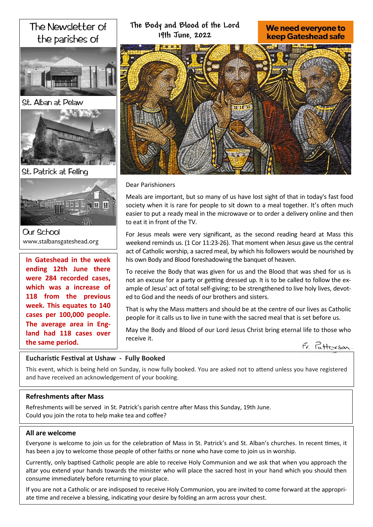# The Newsletter of the parishes of







St. Patrick at Felling



**Our School** www.stalbansgateshead.org

**In Gateshead in the week ending 12th June there were 284 recorded cases, which was a increase of 118 from the previous week. This equates to 140 cases per 100,000 people. The average area in England had 118 cases over the same period.** 

**The Body and Blood of the Lord 19th June, 2022**

We need everyone to **keep Gateshead safe** 

Dear Parishioners

Meals are important, but so many of us have lost sight of that in today's fast food society when it is rare for people to sit down to a meal together. It's often much easier to put a ready meal in the microwave or to order a delivery online and then to eat it in front of the TV.

For Jesus meals were very significant, as the second reading heard at Mass this weekend reminds us. (1 Cor 11:23-26). That moment when Jesus gave us the central act of Catholic worship, a sacred meal, by which his followers would be nourished by his own Body and Blood foreshadowing the banquet of heaven.

To receive the Body that was given for us and the Blood that was shed for us is not an excuse for a party or getting dressed up. It is to be called to follow the example of Jesus' act of total self-giving; to be strengthened to live holy lives, devoted to God and the needs of our brothers and sisters.

That is why the Mass matters and should be at the centre of our lives as Catholic people for it calls us to live in tune with the sacred meal that is set before us.

May the Body and Blood of our Lord Jesus Christ bring eternal life to those who receive it.



# **Eucharistic Festival at Ushaw - Fully Booked**

This event, which is being held on Sunday, is now fully booked. You are asked not to attend unless you have registered and have received an acknowledgement of your booking.

# **Refreshments after Mass**

Refreshments will be served in St. Patrick's parish centre after Mass this Sunday, 19th June. Could you join the rota to help make tea and coffee?

# **All are welcome**

Everyone is welcome to join us for the celebration of Mass in St. Patrick's and St. Alban's churches. In recent times, it has been a joy to welcome those people of other faiths or none who have come to join us in worship.

Currently, only baptised Catholic people are able to receive Holy Communion and we ask that when you approach the altar you extend your hands towards the minister who will place the sacred host in your hand which you should then consume immediately before returning to your place.

If you are not a Catholic or are indisposed to receive Holy Communion, you are invited to come forward at the appropriate time and receive a blessing, indicating your desire by folding an arm across your chest.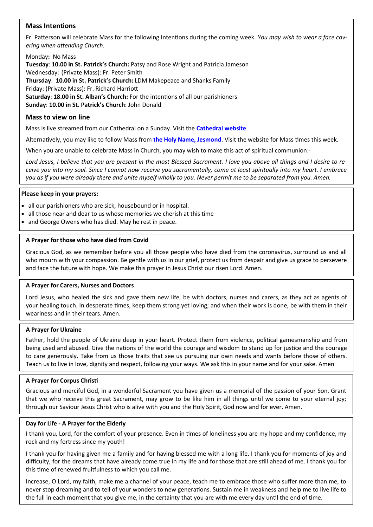# **Mass Intentions**

Fr. Patterson will celebrate Mass for the following Intentions during the coming week. *You may wish to wear a face covering when attending Church.*

Monday**:** No Mass

**Tuesday**: **10.00 in St. Patrick's Church:** Patsy and Rose Wright and Patricia Jameson Wednesday: (Private Mass): Fr. Peter Smith **Thursday**: **10.00 in St. Patrick's Church:** LDM Makepeace and Shanks Family Friday: (Private Mass): Fr. Richard Harriott **Saturday**: **18.00 in St. Alban's Church:** For the intentions of all our parishioners **Sunday**: **10.00 in St. Patrick's Church**: John Donald

### **Mass to view on line**

Mass is live streamed from our Cathedral on a Sunday. Visit the **[Cathedral website](https://www.youtube.com/channel/UC12EvW0Eqg-cFTh5i2y_EQw)**.

Alternatively, you may like to follow Mass from **the [Holy Name, Jesmond](https://www.youtube.com/channel/UCnVss0mkVR2GKS5VPJOEsDA)**. Visit the website for Mass times this week.

When you are unable to celebrate Mass in Church, you may wish to make this act of spiritual communion:-

*Lord Jesus, I believe that you are present in the most Blessed Sacrament. I love you above all things and I desire to receive you into my soul. Since I cannot now receive you sacramentally, come at least spiritually into my heart. I embrace you as if you were already there and unite myself wholly to you. Never permit me to be separated from you. Amen.*

#### **Please keep in your prayers:**

- all our parishioners who are sick, housebound or in hospital.
- all those near and dear to us whose memories we cherish at this time
- and George Owens who has died. May he rest in peace.

#### **A Prayer for those who have died from Covid**

Gracious God, as we remember before you all those people who have died from the coronavirus, surround us and all who mourn with your compassion. Be gentle with us in our grief, protect us from despair and give us grace to persevere and face the future with hope. We make this prayer in Jesus Christ our risen Lord. Amen.

#### **A Prayer for Carers, Nurses and Doctors**

Lord Jesus, who healed the sick and gave them new life, be with doctors, nurses and carers, as they act as agents of your healing touch. In desperate times, keep them strong yet loving; and when their work is done, be with them in their weariness and in their tears. Amen.

#### **A Prayer for Ukraine**

Father, hold the people of Ukraine deep in your heart. Protect them from violence, political gamesmanship and from being used and abused. Give the nations of the world the courage and wisdom to stand up for justice and the courage to care generously. Take from us those traits that see us pursuing our own needs and wants before those of others. Teach us to live in love, dignity and respect, following your ways. We ask this in your name and for your sake. Amen

#### **A Prayer for Corpus Christi**

Gracious and merciful God, in a wonderful Sacrament you have given us a memorial of the passion of your Son. Grant that we who receive this great Sacrament, may grow to be like him in all things until we come to your eternal joy; through our Saviour Jesus Christ who is alive with you and the Holy Spirit, God now and for ever. Amen.

#### **Day for Life - A Prayer for the Elderly**

I thank you, Lord, for the comfort of your presence. Even in times of loneliness you are my hope and my confidence, my rock and my fortress since my youth!

I thank you for having given me a family and for having blessed me with a long life. I thank you for moments of joy and difficulty, for the dreams that have already come true in my life and for those that are still ahead of me. I thank you for this time of renewed fruitfulness to which you call me.

Increase, O Lord, my faith, make me a channel of your peace, teach me to embrace those who suffer more than me, to never stop dreaming and to tell of your wonders to new generations. Sustain me in weakness and help me to live life to the full in each moment that you give me, in the certainty that you are with me every day until the end of time.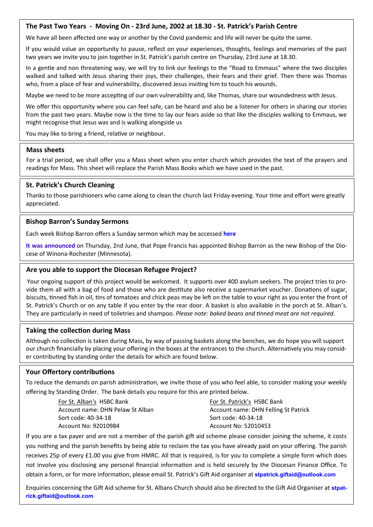### **The Past Two Years - Moving On - 23rd June, 2002 at 18.30 - St. Patrick's Parish Centre**

We have all been affected one way or another by the Covid pandemic and life will never be quite the same.

If you would value an opportunity to pause, reflect on your experiences, thoughts, feelings and memories of the past two years we invite you to join together in St. Patrick's parish centre on Thursday, 23rd June at 18.30.

In a gentle and non threatening way, we will try to link our feelings to the "Road to Emmaus" where the two disciples walked and talked with Jesus sharing their joys, their challenges, their fears and their grief. Then there was Thomas who, from a place of fear and vulnerability, discovered Jesus inviting him to touch his wounds.

Maybe we need to be more accepting of our own vulnerability and, like Thomas, share our woundedness with Jesus.

We offer this opportunity where you can feel safe, can be heard and also be a listener for others in sharing our stories from the past two years. Maybe now is the time to lay our fears aside so that like the disciples walking to Emmaus, we might recognise that Jesus was and is walking alongside us

You may like to bring a friend, relative or neighbour.

#### **Mass sheets**

For a trial period, we shall offer you a Mass sheet when you enter church which provides the text of the prayers and readings for Mass. This sheet will replace the Parish Mass Books which we have used in the past.

### **St. Patrick's Church Cleaning**

Thanks to those parishioners who came along to clean the church last Friday evening. Your time and effort were greatly appreciated.

#### **Bishop Barron's Sunday Sermons**

Each week Bishop Barron offers a Sunday sermon which may be accessed **[here](https://www.wordonfire.org/videos/sermons/)**

**[It was announced](https://www.wordonfire.org/articles/barron/bishop-barron-diocese-winona-rochester/)** on Thursday, 2nd June, that Pope Francis has appointed Bishop Barron as the new Bishop of the Diocese of Winona-Rochester (Minnesota).

#### **Are you able to support the Diocesan Refugee Project?**

Your ongoing support of this project would be welcomed. It supports over 400 asylum seekers. The project tries to provide them all with a bag of food and those who are destitute also receive a supermarket voucher. Donations of sugar, biscuits, tinned fish in oil, tins of tomatoes and chick peas may be left on the table to your right as you enter the front of St. Patrick's Church or on any table if you enter by the rear door. A basket is also available in the porch at St. Alban's. They are particularly in need of toiletries and shampoo. *Please note: baked beans and tinned meat are not required.*

#### **Taking the collection during Mass**

Although no collection is taken during Mass, by way of passing baskets along the benches, we do hope you will support our church financially by placing your offering in the boxes at the entrances to the church. Alternatively you may consider contributing by standing order the details for which are found below.

#### **Your Offertory contributions**

To reduce the demands on parish administration, we invite those of you who feel able, to consider making your weekly offering by Standing Order. The bank details you require for this are printed below.

> For St. Alban's HSBC Bank Account name: DHN Pelaw St Alban Sort code: 40-34-18 Account No: 92010984

For St. Patrick's HSBC Bank Account name: DHN Felling St Patrick Sort code: 40-34-18 Account No: 52010453

If you are a tax payer and are not a member of the parish gift aid scheme please consider joining the scheme, it costs you nothing and the parish benefits by being able to reclaim the tax you have already paid on your offering. The parish receives 25p of every £1.00 you give from HMRC. All that is required, is for you to complete a simple form which does not involve you disclosing any personal financial information and is held securely by the Diocesan Finance Office. To obtain a form, or for more information, please email St. Patrick's Gift Aid organiser at **[stpatrick.giftaid@outlook.com](mailto:stpatrick.giftaid@outlook.com)**

Enquiries concerning the Gift Aid scheme for St. Albans Church should also be directed to the Gift Aid Organiser at **[stpat](mailto:stpatrick.giftaid@outlook.com)[rick.giftaid@outlook.com](mailto:stpatrick.giftaid@outlook.com)**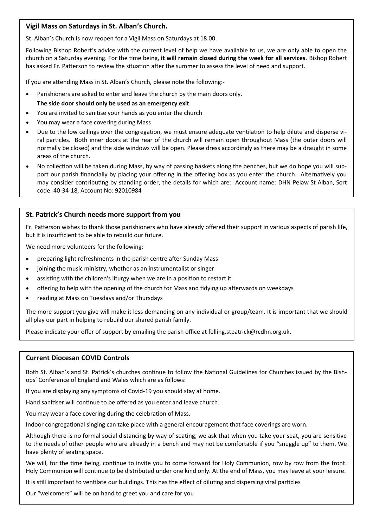# **Vigil Mass on Saturdays in St. Alban's Church.**

St. Alban's Church is now reopen for a Vigil Mass on Saturdays at 18.00.

Following Bishop Robert's advice with the current level of help we have available to us, we are only able to open the church on a Saturday evening. For the time being, **it will remain closed during the week for all services.** Bishop Robert has asked Fr. Patterson to review the situation after the summer to assess the level of need and support.

If you are attending Mass in St. Alban's Church, please note the following:-

- Parishioners are asked to enter and leave the church by the main doors only. **The side door should only be used as an emergency exit**.
- You are invited to sanitise your hands as you enter the church
- You may wear a face covering during Mass
- Due to the low ceilings over the congregation, we must ensure adequate ventilation to help dilute and disperse viral particles. Both inner doors at the rear of the church will remain open throughout Mass (the outer doors will normally be closed) and the side windows will be open. Please dress accordingly as there may be a draught in some areas of the church.
- No collection will be taken during Mass, by way of passing baskets along the benches, but we do hope you will support our parish financially by placing your offering in the offering box as you enter the church. Alternatively you may consider contributing by standing order, the details for which are: Account name: DHN Pelaw St Alban, Sort code: 40-34-18, Account No: 92010984

# **St. Patrick's Church needs more support from you**

Fr. Patterson wishes to thank those parishioners who have already offered their support in various aspects of parish life, but it is insufficient to be able to rebuild our future.

We need more volunteers for the following:-

- preparing light refreshments in the parish centre after Sunday Mass
- joining the music ministry, whether as an instrumentalist or singer
- assisting with the children's liturgy when we are in a position to restart it
- offering to help with the opening of the church for Mass and tidying up afterwards on weekdays
- reading at Mass on Tuesdays and/or Thursdays

The more support you give will make it less demanding on any individual or group/team. It is important that we should all play our part in helping to rebuild our shared parish family.

Please indicate your offer of support by emailing the parish office at felling.stpatrick@rcdhn.org.uk.

#### **Current Diocesan COVID Controls**

Both St. Alban's and St. Patrick's churches continue to follow the National Guidelines for Churches issued by the Bishops' Conference of England and Wales which are as follows:

If you are displaying any symptoms of Covid-19 you should stay at home.

Hand sanitiser will continue to be offered as you enter and leave church.

You may wear a face covering during the celebration of Mass.

Indoor congregational singing can take place with a general encouragement that face coverings are worn.

Although there is no formal social distancing by way of seating, we ask that when you take your seat, you are sensitive to the needs of other people who are already in a bench and may not be comfortable if you "snuggle up" to them. We have plenty of seating space.

We will, for the time being, continue to invite you to come forward for Holy Communion, row by row from the front. Holy Communion will continue to be distributed under one kind only. At the end of Mass, you may leave at your leisure.

It is still important to ventilate our buildings. This has the effect of diluting and dispersing viral particles

Our "welcomers" will be on hand to greet you and care for you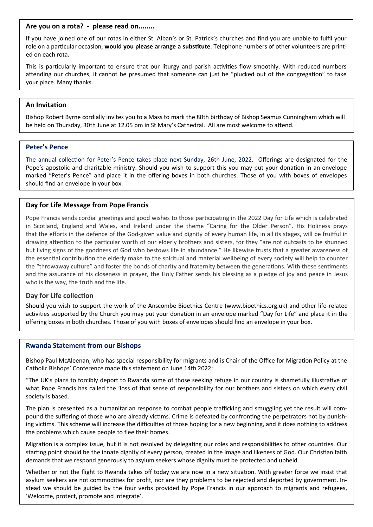#### **Are you on a rota? - please read on........**

If you have joined one of our rotas in either St. Alban's or St. Patrick's churches and find you are unable to fulfil your role on a particular occasion, **would you please arrange a substitute**. Telephone numbers of other volunteers are printed on each rota.

This is particularly important to ensure that our liturgy and parish activities flow smoothly. With reduced numbers attending our churches, it cannot be presumed that someone can just be "plucked out of the congregation" to take your place. Many thanks.

# **An Invitation**

Bishop Robert Byrne cordially invites you to a Mass to mark the 80th birthday of Bishop Seamus Cunningham which will be held on Thursday, 30th June at 12.05 pm in St Mary's Cathedral. All are most welcome to attend.

### **Peter's Pence**

The annual collection for Peter's Pence takes place next Sunday, 26th June, 2022. Offerings are designated for the Pope's apostolic and charitable ministry. Should you wish to support this you may put your donation in an envelope marked "Peter's Pence" and place it in the offering boxes in both churches. Those of you with boxes of envelopes should find an envelope in your box.

# **Day for Life Message from Pope Francis**

Pope Francis sends cordial greetings and good wishes to those participating in the 2022 Day for Life which is celebrated in Scotland, England and Wales, and Ireland under the theme "Caring for the Older Person". His Holiness prays that the efforts in the defence of the God-given value and dignity of every human life, in all its stages, will be fruitful in drawing attention to the particular worth of our elderly brothers and sisters, for they "are not outcasts to be shunned but living signs of the goodness of God who bestows life in abundance." He likewise trusts that a greater awareness of the essential contribution the elderly make to the spiritual and material wellbeing of every society will help to counter the "throwaway culture" and foster the bonds of charity and fraternity between the generations. With these sentiments and the assurance of his closeness in prayer, the Holy Father sends his blessing as a pledge of joy and peace in Jesus who is the way, the truth and the life.

# **Day for Life collection**

Should you wish to support the work of the Anscombe Bioethics Centre (www.bioethics.org.uk) and other life-related activities supported by the Church you may put your donation in an envelope marked "Day for Life" and place it in the offering boxes in both churches. Those of you with boxes of envelopes should find an envelope in your box.

#### **Rwanda Statement from our Bishops**

Bishop Paul McAleenan, who has special responsibility for migrants and is Chair of the Office for Migration Policy at the Catholic Bishops' Conference made this statement on June 14th 2022:

"The UK's plans to forcibly deport to Rwanda some of those seeking refuge in our country is shamefully illustrative of what Pope Francis has called the 'loss of that sense of responsibility for our brothers and sisters on which every civil society is based.

The plan is presented as a humanitarian response to combat people trafficking and smuggling yet the result will compound the suffering of those who are already victims. Crime is defeated by confronting the perpetrators not by punishing victims. This scheme will increase the difficulties of those hoping for a new beginning, and it does nothing to address the problems which cause people to flee their homes.

Migration is a complex issue, but it is not resolved by delegating our roles and responsibilities to other countries. Our starting point should be the innate dignity of every person, created in the image and likeness of God. Our Christian faith demands that we respond generously to asylum seekers whose dignity must be protected and upheld.

Whether or not the flight to Rwanda takes off today we are now in a new situation. With greater force we insist that asylum seekers are not commodities for profit, nor are they problems to be rejected and deported by government. Instead we should be guided by the four verbs provided by Pope Francis in our approach to migrants and refugees, 'Welcome, protect, promote and integrate'.